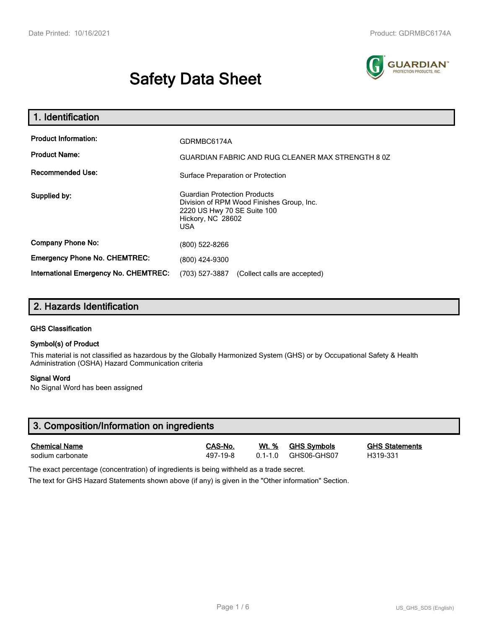# **Safety Data Sheet**



| 1. Identification                                                              |                                                                                                                                             |  |  |
|--------------------------------------------------------------------------------|---------------------------------------------------------------------------------------------------------------------------------------------|--|--|
| <b>Product Information:</b><br><b>Product Name:</b><br><b>Recommended Use:</b> | GDRMBC6174A<br>GUARDIAN FABRIC AND RUG CLEANER MAX STRENGTH 8 0Z<br>Surface Preparation or Protection                                       |  |  |
| Supplied by:                                                                   | <b>Guardian Protection Products</b><br>Division of RPM Wood Finishes Group, Inc.<br>2220 US Hwy 70 SE Suite 100<br>Hickory, NC 28602<br>USA |  |  |
| <b>Company Phone No:</b>                                                       | (800) 522-8266                                                                                                                              |  |  |
| <b>Emergency Phone No. CHEMTREC:</b>                                           | (800) 424-9300                                                                                                                              |  |  |
| International Emergency No. CHEMTREC:                                          | (703) 527-3887<br>(Collect calls are accepted)                                                                                              |  |  |

## **2. Hazards Identification**

#### **GHS Classification**

#### **Symbol(s) of Product**

This material is not classified as hazardous by the Globally Harmonized System (GHS) or by Occupational Safety & Health Administration (OSHA) Hazard Communication criteria

#### **Signal Word**

No Signal Word has been assigned

| 3. Composition/Information on ingredients |          |              |                    |                       |  |  |
|-------------------------------------------|----------|--------------|--------------------|-----------------------|--|--|
| <b>Chemical Name</b>                      | CAS-No.  | <u>Wt. %</u> | <b>GHS Symbols</b> | <b>GHS Statements</b> |  |  |
| sodium carbonate                          | 497-19-8 | $01 - 10$    | GHS06-GHS07        | H319-331              |  |  |

The exact percentage (concentration) of ingredients is being withheld as a trade secret.

The text for GHS Hazard Statements shown above (if any) is given in the "Other information" Section.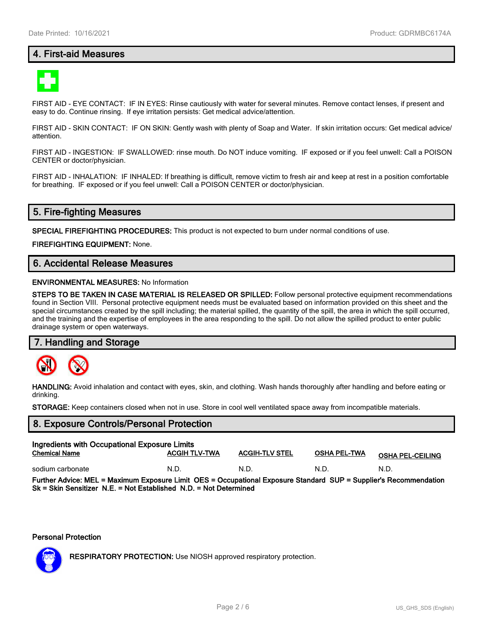## **4. First-aid Measures**



FIRST AID - EYE CONTACT: IF IN EYES: Rinse cautiously with water for several minutes. Remove contact lenses, if present and easy to do. Continue rinsing. If eye irritation persists: Get medical advice/attention.

FIRST AID - SKIN CONTACT: IF ON SKIN: Gently wash with plenty of Soap and Water. If skin irritation occurs: Get medical advice/ attention.

FIRST AID - INGESTION: IF SWALLOWED: rinse mouth. Do NOT induce vomiting. IF exposed or if you feel unwell: Call a POISON CENTER or doctor/physician.

FIRST AID - INHALATION: IF INHALED: If breathing is difficult, remove victim to fresh air and keep at rest in a position comfortable for breathing. IF exposed or if you feel unwell: Call a POISON CENTER or doctor/physician.

## **5. Fire-fighting Measures**

**SPECIAL FIREFIGHTING PROCEDURES:** This product is not expected to burn under normal conditions of use.

**FIREFIGHTING EQUIPMENT:** None.

## **6. Accidental Release Measures**

#### **ENVIRONMENTAL MEASURES:** No Information

**STEPS TO BE TAKEN IN CASE MATERIAL IS RELEASED OR SPILLED:** Follow personal protective equipment recommendations found in Section VIII. Personal protective equipment needs must be evaluated based on information provided on this sheet and the special circumstances created by the spill including; the material spilled, the quantity of the spill, the area in which the spill occurred, and the training and the expertise of employees in the area responding to the spill. Do not allow the spilled product to enter public drainage system or open waterways.

#### **7. Handling and Storage**



**HANDLING:** Avoid inhalation and contact with eyes, skin, and clothing. Wash hands thoroughly after handling and before eating or drinking.

**STORAGE:** Keep containers closed when not in use. Store in cool well ventilated space away from incompatible materials.

# **8. Exposure Controls/Personal Protection Ingredients with Occupational Exposure Limits Chemical Name ACGIH TLV-TWA ACGIH-TLV STEL OSHA PEL-TWA OSHA PEL-CEILING** sodium carbonate  $N.D.$  N.D. N.D. N.D. N.D. N.D. N.D. **Further Advice: MEL = Maximum Exposure Limit OES = Occupational Exposure Standard SUP = Supplier's Recommendation Sk = Skin Sensitizer N.E. = Not Established N.D. = Not Determined**

#### **Personal Protection**



**RESPIRATORY PROTECTION:** Use NIOSH approved respiratory protection.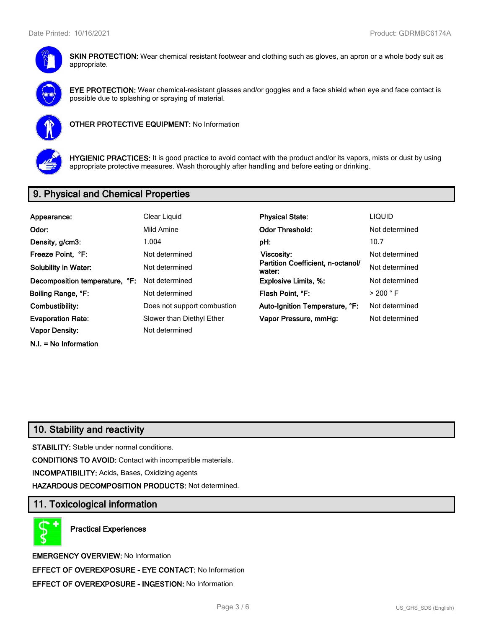

**SKIN PROTECTION:** Wear chemical resistant footwear and clothing such as gloves, an apron or a whole body suit as appropriate.



**EYE PROTECTION:** Wear chemical-resistant glasses and/or goggles and a face shield when eye and face contact is possible due to splashing or spraying of material.



**OTHER PROTECTIVE EQUIPMENT:** No Information



**HYGIENIC PRACTICES:** It is good practice to avoid contact with the product and/or its vapors, mists or dust by using appropriate protective measures. Wash thoroughly after handling and before eating or drinking.

# **9. Physical and Chemical Properties**

| Appearance:                    | Clear Liquid                | <b>Physical State:</b>                      | <b>LIQUID</b>        |
|--------------------------------|-----------------------------|---------------------------------------------|----------------------|
| Odor:                          | Mild Amine                  | <b>Odor Threshold:</b>                      | Not determined       |
| Density, g/cm3:                | 1.004                       | pH:                                         | 10.7                 |
| Freeze Point, °F:              | Not determined              | Viscosity:                                  | Not determined       |
| <b>Solubility in Water:</b>    | Not determined              | Partition Coefficient, n-octanol/<br>water: | Not determined       |
| Decomposition temperature, °F: | Not determined              | <b>Explosive Limits, %:</b>                 | Not determined       |
| Boiling Range, °F:             | Not determined              | Flash Point, °F:                            | $>$ 200 $^{\circ}$ F |
| Combustibility:                | Does not support combustion | Auto-Ignition Temperature, °F:              | Not determined       |
| <b>Evaporation Rate:</b>       | Slower than Diethyl Ether   | Vapor Pressure, mmHg:                       | Not determined       |
| <b>Vapor Density:</b>          | Not determined              |                                             |                      |
|                                |                             |                                             |                      |

**N.I. = No Information**

# **10. Stability and reactivity**

**STABILITY:** Stable under normal conditions.

**CONDITIONS TO AVOID:** Contact with incompatible materials.

**INCOMPATIBILITY:** Acids, Bases, Oxidizing agents

**HAZARDOUS DECOMPOSITION PRODUCTS:** Not determined.

## **11. Toxicological information**

**Practical Experiences**

**EMERGENCY OVERVIEW:** No Information **EFFECT OF OVEREXPOSURE - EYE CONTACT:** No Information **EFFECT OF OVEREXPOSURE - INGESTION:** No Information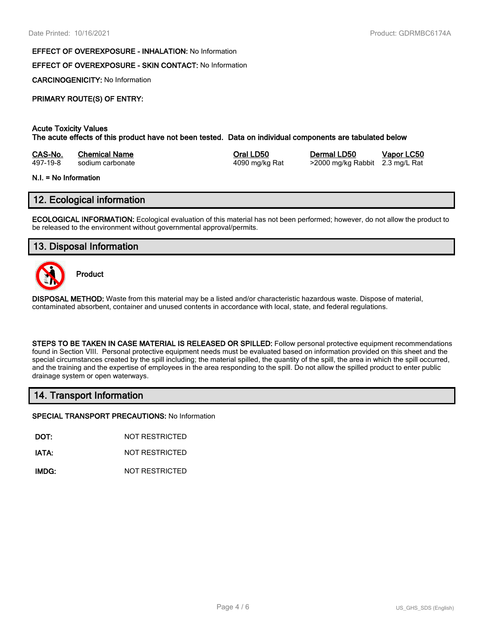#### **EFFECT OF OVEREXPOSURE - INHALATION:** No Information

### **EFFECT OF OVEREXPOSURE - SKIN CONTACT:** No Information

**CARCINOGENICITY:** No Information

## **PRIMARY ROUTE(S) OF ENTRY:**

#### **Acute Toxicity Values The acute effects of this product have not been tested. Data on individual components are tabulated below**

| CAS-No.  | <b>Chemical Name</b> | Oral LD50<br>Dermal LD50                          | Vapor LC50 |
|----------|----------------------|---------------------------------------------------|------------|
| 497-19-8 | sodium carbonate     | >2000 mg/kg Rabbit 2.3 mg/L Rat<br>4090 mg/kg Rat |            |

#### **N.I. = No Information**

## **12. Ecological information**

**ECOLOGICAL INFORMATION:** Ecological evaluation of this material has not been performed; however, do not allow the product to be released to the environment without governmental approval/permits.

## **13. Disposal Information**



**Product**

**DISPOSAL METHOD:** Waste from this material may be a listed and/or characteristic hazardous waste. Dispose of material, contaminated absorbent, container and unused contents in accordance with local, state, and federal regulations.

**STEPS TO BE TAKEN IN CASE MATERIAL IS RELEASED OR SPILLED:** Follow personal protective equipment recommendations found in Section VIII. Personal protective equipment needs must be evaluated based on information provided on this sheet and the special circumstances created by the spill including; the material spilled, the quantity of the spill, the area in which the spill occurred, and the training and the expertise of employees in the area responding to the spill. Do not allow the spilled product to enter public drainage system or open waterways.

### **14. Transport Information**

**SPECIAL TRANSPORT PRECAUTIONS:** No Information

**DOT:** NOT RESTRICTED

**IATA:** NOT RESTRICTED

**IMDG:** NOT RESTRICTED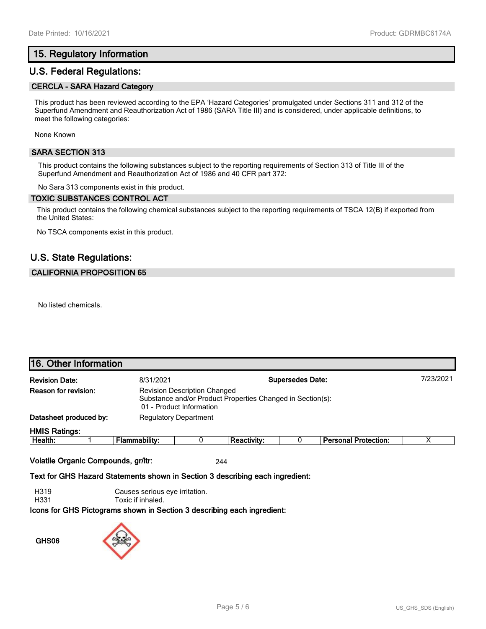## **15. Regulatory Information**

## **U.S. Federal Regulations:**

#### **CERCLA - SARA Hazard Category**

This product has been reviewed according to the EPA 'Hazard Categories' promulgated under Sections 311 and 312 of the Superfund Amendment and Reauthorization Act of 1986 (SARA Title III) and is considered, under applicable definitions, to meet the following categories:

None Known

#### **SARA SECTION 313**

This product contains the following substances subject to the reporting requirements of Section 313 of Title III of the Superfund Amendment and Reauthorization Act of 1986 and 40 CFR part 372:

No Sara 313 components exist in this product.

#### **TOXIC SUBSTANCES CONTROL ACT**

This product contains the following chemical substances subject to the reporting requirements of TSCA 12(B) if exported from the United States:

No TSCA components exist in this product.

## **U.S. State Regulations:**

#### **CALIFORNIA PROPOSITION 65**

No listed chemicals.

|                       | 16. Other Information  |                                                                                                                               |                              |                    |  |                             |   |
|-----------------------|------------------------|-------------------------------------------------------------------------------------------------------------------------------|------------------------------|--------------------|--|-----------------------------|---|
| <b>Revision Date:</b> |                        | <b>Supersedes Date:</b><br>8/31/2021                                                                                          |                              |                    |  | 7/23/2021                   |   |
| Reason for revision:  |                        | <b>Revision Description Changed</b><br>Substance and/or Product Properties Changed in Section(s):<br>01 - Product Information |                              |                    |  |                             |   |
|                       | Datasheet produced by: |                                                                                                                               | <b>Regulatory Department</b> |                    |  |                             |   |
| <b>HMIS Ratings:</b>  |                        |                                                                                                                               |                              |                    |  |                             |   |
| Health:               |                        | Flammability:                                                                                                                 |                              | <b>Reactivity:</b> |  | <b>Personal Protection:</b> | v |

**Volatile Organic Compounds, gr/ltr:** 244

**Text for GHS Hazard Statements shown in Section 3 describing each ingredient:**

H319 Causes serious eye irritation.

H331 Toxic if inhaled.

**Icons for GHS Pictograms shown in Section 3 describing each ingredient:**

**GHS06**